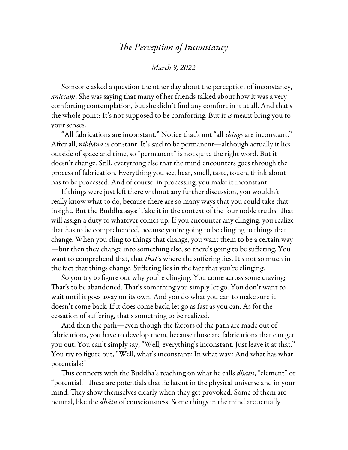## *The Perception of Inconstancy*

## *March 9, 2022*

Someone asked a question the other day about the perception of inconstancy, *aniccaṃ*. She was saying that many of her friends talked about how it was a very comforting contemplation, but she didn't find any comfort in it at all. And that's the whole point: It's not supposed to be comforting. But it *is* meant bring you to your senses.

"All fabrications are inconstant." Notice that's not "all *things* are inconstant." After all, *nibbāna* is constant. It's said to be permanent—although actually it lies outside of space and time, so "permanent" is not quite the right word. But it doesn't change. Still, everything else that the mind encounters goes through the process of fabrication. Everything you see, hear, smell, taste, touch, think about has to be processed. And of course, in processing, you make it inconstant.

If things were just left there without any further discussion, you wouldn't really know what to do, because there are so many ways that you could take that insight. But the Buddha says: Take it in the context of the four noble truths. That will assign a duty to whatever comes up. If you encounter any clinging, you realize that has to be comprehended, because you're going to be clinging to things that change. When you cling to things that change, you want them to be a certain way —but then they change into something else, so there's going to be suffering. You want to comprehend that, that *that*'s where the suffering lies. It's not so much in the fact that things change. Suffering lies in the fact that you're clinging.

So you try to figure out why you're clinging. You come across some craving; That's to be abandoned. That's something you simply let go. You don't want to wait until it goes away on its own. And you do what you can to make sure it doesn't come back. If it does come back, let go as fast as you can. As for the cessation of suffering, that's something to be realized.

And then the path—even though the factors of the path are made out of fabrications, you have to develop them, because those are fabrications that can get you out. You can't simply say, "Well, everything's inconstant. Just leave it at that." You try to figure out, "Well, what's inconstant? In what way? And what has what potentials?"

This connects with the Buddha's teaching on what he calls *dhātu*, "element" or "potential." These are potentials that lie latent in the physical universe and in your mind. They show themselves clearly when they get provoked. Some of them are neutral, like the *dhātu* of consciousness. Some things in the mind are actually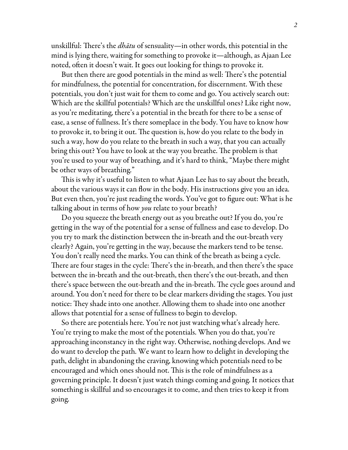unskillful: There's the *dhātu* of sensuality—in other words, this potential in the mind is lying there, waiting for something to provoke it—although, as Ajaan Lee noted, often it doesn't wait. It goes out looking for things to provoke it.

But then there are good potentials in the mind as well: There's the potential for mindfulness, the potential for concentration, for discernment. With these potentials, you don't just wait for them to come and go. You actively search out: Which are the skillful potentials? Which are the unskillful ones? Like right now, as you're meditating, there's a potential in the breath for there to be a sense of ease, a sense of fullness. It's there someplace in the body. You have to know how to provoke it, to bring it out. The question is, how do you relate to the body in such a way, how do you relate to the breath in such a way, that you can actually bring this out? You have to look at the way you breathe. The problem is that you're used to your way of breathing, and it's hard to think, "Maybe there might be other ways of breathing."

This is why it's useful to listen to what Ajaan Lee has to say about the breath, about the various ways it can flow in the body. His instructions give you an idea. But even then, you're just reading the words. You've got to figure out: What is he talking about in terms of how *you* relate to your breath?

Do you squeeze the breath energy out as you breathe out? If you do, you're getting in the way of the potential for a sense of fullness and ease to develop. Do you try to mark the distinction between the in-breath and the out-breath very clearly? Again, you're getting in the way, because the markers tend to be tense. You don't really need the marks. You can think of the breath as being a cycle. There are four stages in the cycle: There's the in-breath, and then there's the space between the in-breath and the out-breath, then there's the out-breath, and then there's space between the out-breath and the in-breath. The cycle goes around and around. You don't need for there to be clear markers dividing the stages. You just notice: They shade into one another. Allowing them to shade into one another allows that potential for a sense of fullness to begin to develop.

So there are potentials here. You're not just watching what's already here. You're trying to make the most of the potentials. When you do that, you're approaching inconstancy in the right way. Otherwise, nothing develops. And we do want to develop the path. We want to learn how to delight in developing the path, delight in abandoning the craving, knowing which potentials need to be encouraged and which ones should not. This is the role of mindfulness as a governing principle. It doesn't just watch things coming and going. It notices that something is skillful and so encourages it to come, and then tries to keep it from going.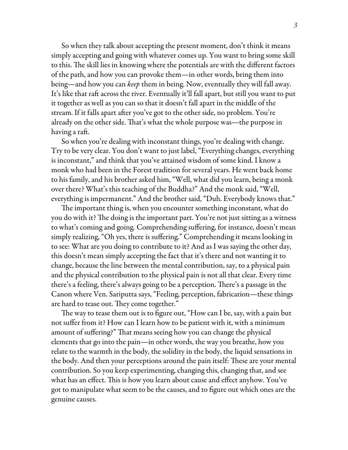So when they talk about accepting the present moment, don't think it means simply accepting and going with whatever comes up. You want to bring some skill to this. The skill lies in knowing where the potentials are with the different factors of the path, and how you can provoke them—in other words, bring them into being—and how you can *keep* them in being. Now, eventually they will fall away. It's like that raft across the river. Eventually it'll fall apart, but still you want to put it together as well as you can so that it doesn't fall apart in the middle of the stream. If it falls apart after you've got to the other side, no problem. You're already on the other side. That's what the whole purpose was—the purpose in having a raft.

So when you're dealing with inconstant things, you're dealing with change. Try to be very clear. You don't want to just label, "Everything changes, everything is inconstant," and think that you've attained wisdom of some kind. I know a monk who had been in the Forest tradition for several years. He went back home to his family, and his brother asked him, "Well, what did you learn, being a monk over there? What's this teaching of the Buddha?" And the monk said, "Well, everything is impermanent." And the brother said, "Duh. Everybody knows that."

The important thing is, when you encounter something inconstant, what do you do with it? The doing is the important part. You're not just sitting as a witness to what's coming and going. Comprehending suffering, for instance, doesn't mean simply realizing, "Oh yes, there is suffering." Comprehending it means looking in to see: What are you doing to contribute to it? And as I was saying the other day, this doesn't mean simply accepting the fact that it's there and not wanting it to change, because the line between the mental contribution, say, to a physical pain and the physical contribution to the physical pain is not all that clear. Every time there's a feeling, there's always going to be a perception. There's a passage in the Canon where Ven. Sariputta says, "Feeling, perception, fabrication—these things are hard to tease out. They come together."

The way to tease them out is to figure out, "How can I be, say, with a pain but not suffer from it? How can I learn how to be patient with it, with a minimum amount of suffering?" That means seeing how you can change the physical elements that go into the pain—in other words, the way you breathe, how you relate to the warmth in the body, the solidity in the body, the liquid sensations in the body. And then your perceptions around the pain itself: These are your mental contribution. So you keep experimenting, changing this, changing that, and see what has an effect. This is how you learn about cause and effect anyhow. You've got to manipulate what seem to be the causes, and to figure out which ones are the genuine causes.